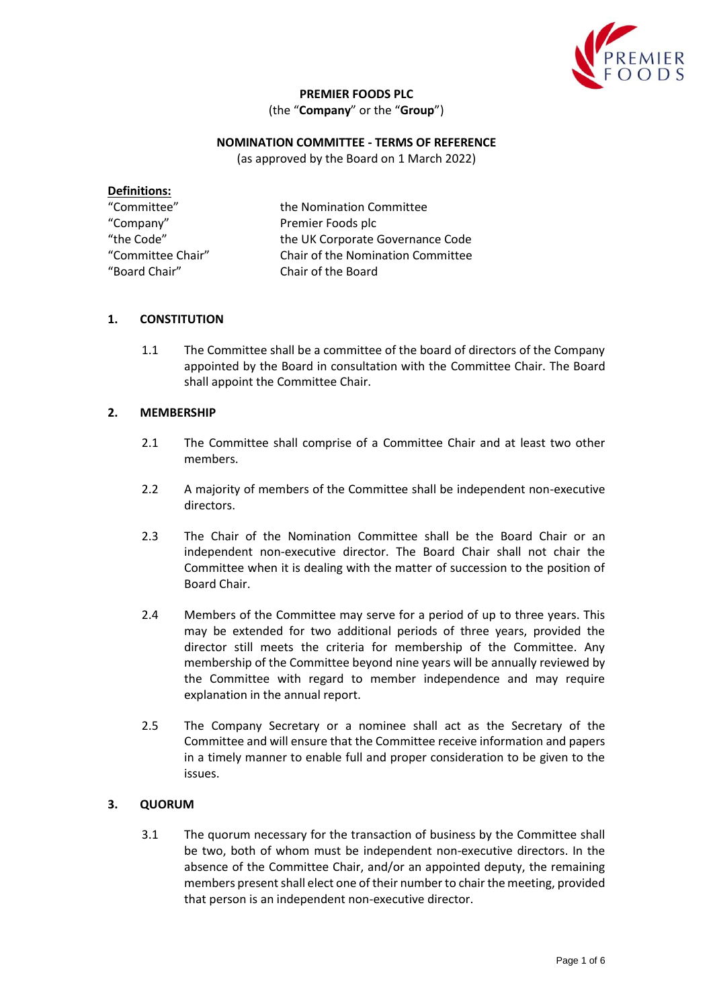

# **PREMIER FOODS PLC**

(the "**Company**" or the "**Group**")

# **NOMINATION COMMITTEE - TERMS OF REFERENCE**

(as approved by the Board on 1 March 2022)

| <b>Definitions:</b> |                                   |
|---------------------|-----------------------------------|
| "Committee"         | the Nomination Committee          |
| "Company"           | Premier Foods plc                 |
| "the Code"          | the UK Corporate Governance Code  |
| "Committee Chair"   | Chair of the Nomination Committee |
| "Board Chair"       | Chair of the Board                |
|                     |                                   |

### **1. CONSTITUTION**

1.1 The Committee shall be a committee of the board of directors of the Company appointed by the Board in consultation with the Committee Chair. The Board shall appoint the Committee Chair.

#### **2. MEMBERSHIP**

- 2.1 The Committee shall comprise of a Committee Chair and at least two other members.
- 2.2 A majority of members of the Committee shall be independent non-executive directors.
- 2.3 The Chair of the Nomination Committee shall be the Board Chair or an independent non-executive director. The Board Chair shall not chair the Committee when it is dealing with the matter of succession to the position of Board Chair.
- 2.4 Members of the Committee may serve for a period of up to three years. This may be extended for two additional periods of three years, provided the director still meets the criteria for membership of the Committee. Any membership of the Committee beyond nine years will be annually reviewed by the Committee with regard to member independence and may require explanation in the annual report.
- 2.5 The Company Secretary or a nominee shall act as the Secretary of the Committee and will ensure that the Committee receive information and papers in a timely manner to enable full and proper consideration to be given to the issues.

### **3. QUORUM**

3.1 The quorum necessary for the transaction of business by the Committee shall be two, both of whom must be independent non-executive directors. In the absence of the Committee Chair, and/or an appointed deputy, the remaining members present shall elect one of their number to chair the meeting, provided that person is an independent non-executive director.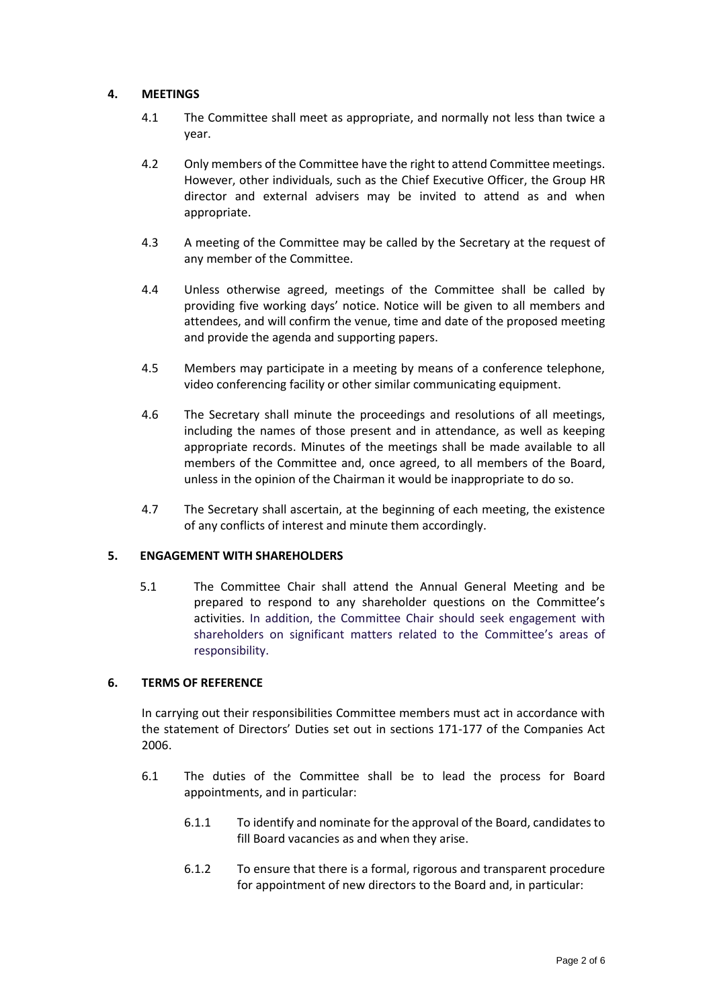#### **4. MEETINGS**

- 4.1 The Committee shall meet as appropriate, and normally not less than twice a year.
- 4.2 Only members of the Committee have the right to attend Committee meetings. However, other individuals, such as the Chief Executive Officer, the Group HR director and external advisers may be invited to attend as and when appropriate.
- 4.3 A meeting of the Committee may be called by the Secretary at the request of any member of the Committee.
- 4.4 Unless otherwise agreed, meetings of the Committee shall be called by providing five working days' notice. Notice will be given to all members and attendees, and will confirm the venue, time and date of the proposed meeting and provide the agenda and supporting papers.
- 4.5 Members may participate in a meeting by means of a conference telephone, video conferencing facility or other similar communicating equipment.
- 4.6 The Secretary shall minute the proceedings and resolutions of all meetings, including the names of those present and in attendance, as well as keeping appropriate records. Minutes of the meetings shall be made available to all members of the Committee and, once agreed, to all members of the Board, unless in the opinion of the Chairman it would be inappropriate to do so.
- 4.7 The Secretary shall ascertain, at the beginning of each meeting, the existence of any conflicts of interest and minute them accordingly.

### **5. ENGAGEMENT WITH SHAREHOLDERS**

5.1 The Committee Chair shall attend the Annual General Meeting and be prepared to respond to any shareholder questions on the Committee's activities. In addition, the Committee Chair should seek engagement with shareholders on significant matters related to the Committee's areas of responsibility.

### **6. TERMS OF REFERENCE**

In carrying out their responsibilities Committee members must act in accordance with the statement of Directors' Duties set out in sections 171-177 of the Companies Act 2006.

- 6.1 The duties of the Committee shall be to lead the process for Board appointments, and in particular:
	- 6.1.1 To identify and nominate for the approval of the Board, candidates to fill Board vacancies as and when they arise.
	- 6.1.2 To ensure that there is a formal, rigorous and transparent procedure for appointment of new directors to the Board and, in particular: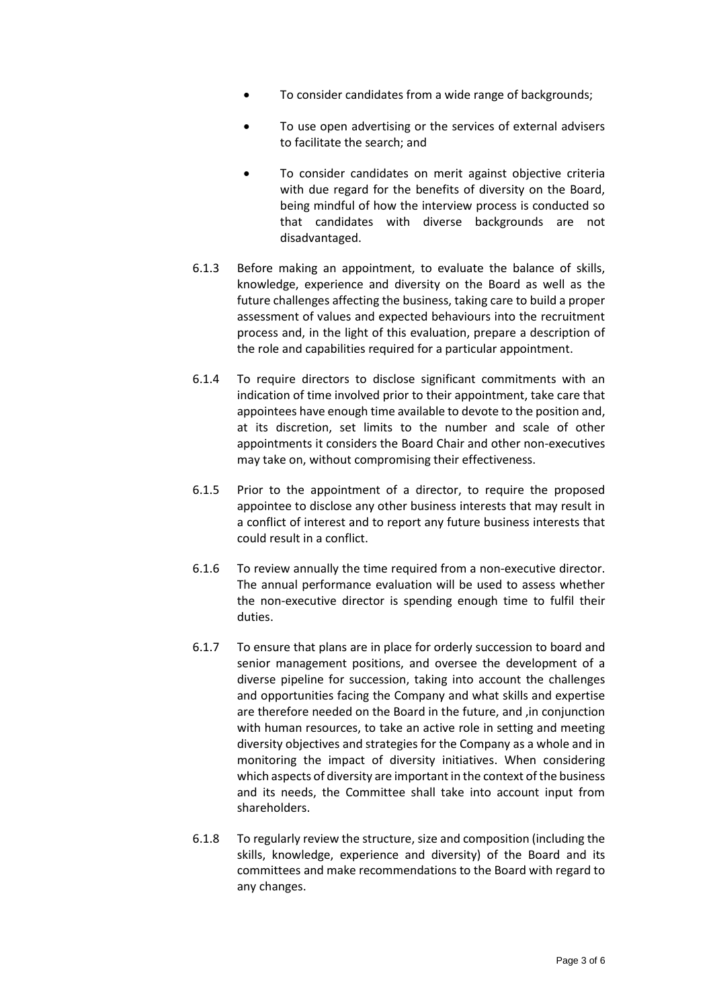- To consider candidates from a wide range of backgrounds;
- To use open advertising or the services of external advisers to facilitate the search; and
- To consider candidates on merit against objective criteria with due regard for the benefits of diversity on the Board, being mindful of how the interview process is conducted so that candidates with diverse backgrounds are not disadvantaged.
- 6.1.3 Before making an appointment, to evaluate the balance of skills, knowledge, experience and diversity on the Board as well as the future challenges affecting the business, taking care to build a proper assessment of values and expected behaviours into the recruitment process and, in the light of this evaluation, prepare a description of the role and capabilities required for a particular appointment.
- 6.1.4 To require directors to disclose significant commitments with an indication of time involved prior to their appointment, take care that appointees have enough time available to devote to the position and, at its discretion, set limits to the number and scale of other appointments it considers the Board Chair and other non-executives may take on, without compromising their effectiveness.
- 6.1.5 Prior to the appointment of a director, to require the proposed appointee to disclose any other business interests that may result in a conflict of interest and to report any future business interests that could result in a conflict.
- 6.1.6 To review annually the time required from a non-executive director. The annual performance evaluation will be used to assess whether the non-executive director is spending enough time to fulfil their duties.
- 6.1.7 To ensure that plans are in place for orderly succession to board and senior management positions, and oversee the development of a diverse pipeline for succession, taking into account the challenges and opportunities facing the Company and what skills and expertise are therefore needed on the Board in the future, and ,in conjunction with human resources, to take an active role in setting and meeting diversity objectives and strategies for the Company as a whole and in monitoring the impact of diversity initiatives. When considering which aspects of diversity are important in the context of the business and its needs, the Committee shall take into account input from shareholders.
- 6.1.8 To regularly review the structure, size and composition (including the skills, knowledge, experience and diversity) of the Board and its committees and make recommendations to the Board with regard to any changes.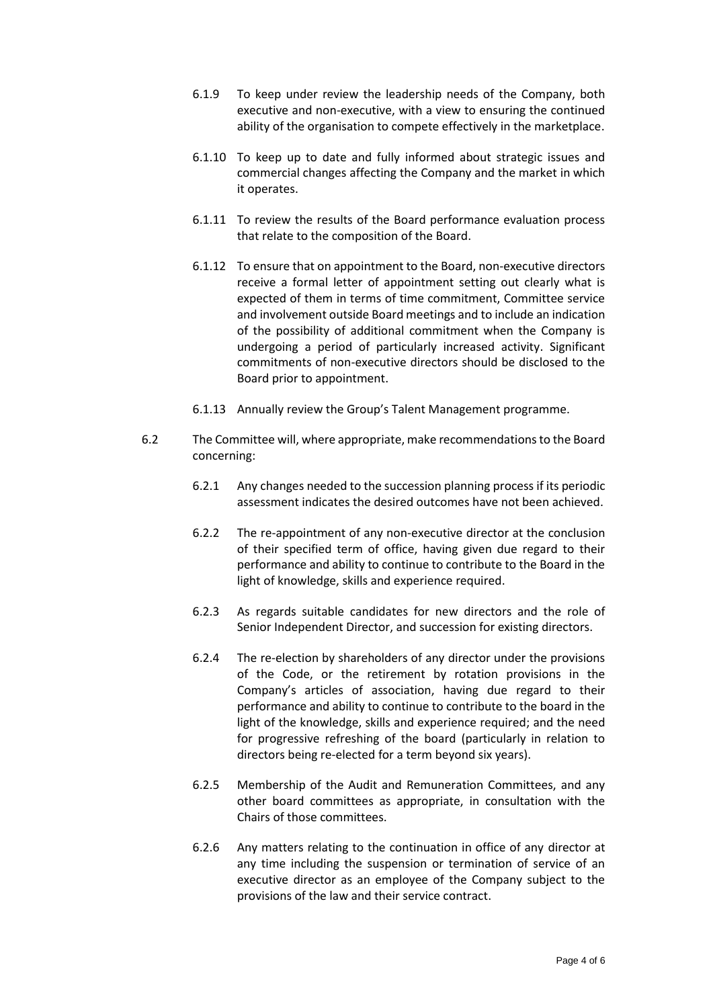- 6.1.9 To keep under review the leadership needs of the Company, both executive and non-executive, with a view to ensuring the continued ability of the organisation to compete effectively in the marketplace.
- 6.1.10 To keep up to date and fully informed about strategic issues and commercial changes affecting the Company and the market in which it operates.
- 6.1.11 To review the results of the Board performance evaluation process that relate to the composition of the Board.
- 6.1.12 To ensure that on appointment to the Board, non-executive directors receive a formal letter of appointment setting out clearly what is expected of them in terms of time commitment, Committee service and involvement outside Board meetings and to include an indication of the possibility of additional commitment when the Company is undergoing a period of particularly increased activity. Significant commitments of non-executive directors should be disclosed to the Board prior to appointment.
- 6.1.13 Annually review the Group's Talent Management programme.
- 6.2 The Committee will, where appropriate, make recommendations to the Board concerning:
	- 6.2.1 Any changes needed to the succession planning process if its periodic assessment indicates the desired outcomes have not been achieved.
	- 6.2.2 The re-appointment of any non-executive director at the conclusion of their specified term of office, having given due regard to their performance and ability to continue to contribute to the Board in the light of knowledge, skills and experience required.
	- 6.2.3 As regards suitable candidates for new directors and the role of Senior Independent Director, and succession for existing directors.
	- 6.2.4 The re-election by shareholders of any director under the provisions of the Code, or the retirement by rotation provisions in the Company's articles of association, having due regard to their performance and ability to continue to contribute to the board in the light of the knowledge, skills and experience required; and the need for progressive refreshing of the board (particularly in relation to directors being re-elected for a term beyond six years).
	- 6.2.5 Membership of the Audit and Remuneration Committees, and any other board committees as appropriate, in consultation with the Chairs of those committees.
	- 6.2.6 Any matters relating to the continuation in office of any director at any time including the suspension or termination of service of an executive director as an employee of the Company subject to the provisions of the law and their service contract.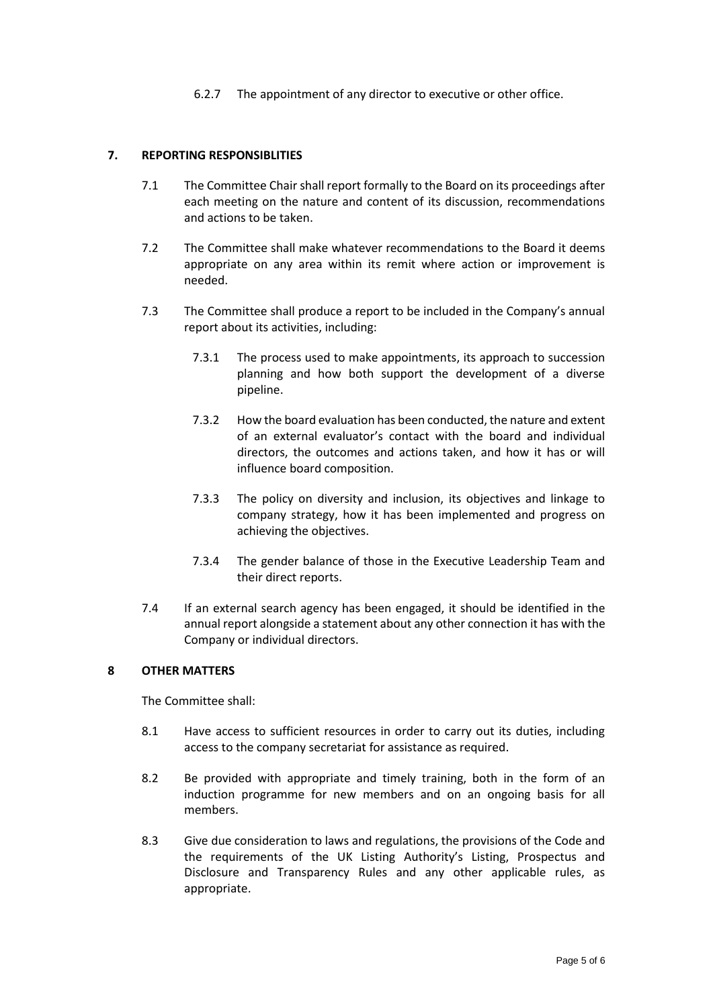6.2.7 The appointment of any director to executive or other office.

# **7. REPORTING RESPONSIBLITIES**

- 7.1 The Committee Chair shall report formally to the Board on its proceedings after each meeting on the nature and content of its discussion, recommendations and actions to be taken.
- 7.2 The Committee shall make whatever recommendations to the Board it deems appropriate on any area within its remit where action or improvement is needed.
- 7.3 The Committee shall produce a report to be included in the Company's annual report about its activities, including:
	- 7.3.1 The process used to make appointments, its approach to succession planning and how both support the development of a diverse pipeline.
	- 7.3.2 How the board evaluation has been conducted, the nature and extent of an external evaluator's contact with the board and individual directors, the outcomes and actions taken, and how it has or will influence board composition.
	- 7.3.3 The policy on diversity and inclusion, its objectives and linkage to company strategy, how it has been implemented and progress on achieving the objectives.
	- 7.3.4 The gender balance of those in the Executive Leadership Team and their direct reports.
- 7.4 If an external search agency has been engaged, it should be identified in the annual report alongside a statement about any other connection it has with the Company or individual directors.

### **8 OTHER MATTERS**

The Committee shall:

- 8.1 Have access to sufficient resources in order to carry out its duties, including access to the company secretariat for assistance as required.
- 8.2 Be provided with appropriate and timely training, both in the form of an induction programme for new members and on an ongoing basis for all members.
- 8.3 Give due consideration to laws and regulations, the provisions of the Code and the requirements of the UK Listing Authority's Listing, Prospectus and Disclosure and Transparency Rules and any other applicable rules, as appropriate.